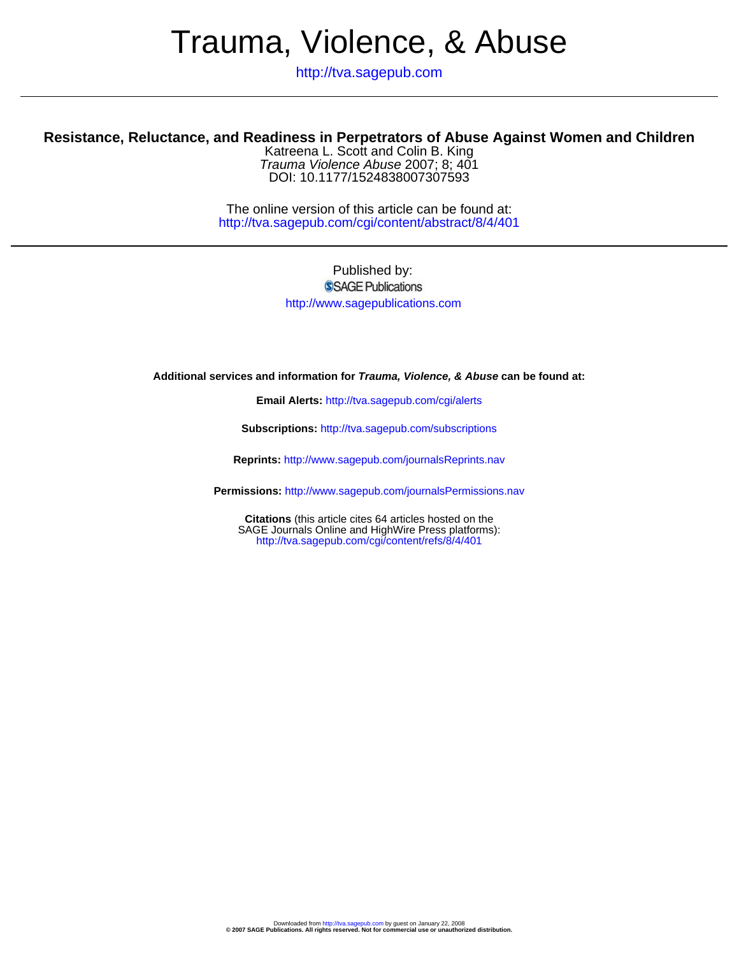# Trauma, Violence, & Abuse

http://tva.sagepub.com

# **Resistance, Reluctance, and Readiness in Perpetrators of Abuse Against Women and Children**

DOI: 10.1177/1524838007307593 Trauma Violence Abuse 2007; 8; 401 Katreena L. Scott and Colin B. King

http://tva.sagepub.com/cgi/content/abstract/8/4/401 The online version of this article can be found at:

# Published by: SSAGE Publications

http://www.sagepublications.com

**Additional services and information for Trauma, Violence, & Abuse can be found at:**

**Email Alerts:** <http://tva.sagepub.com/cgi/alerts>

**Subscriptions:** <http://tva.sagepub.com/subscriptions>

**Reprints:** <http://www.sagepub.com/journalsReprints.nav>

**Permissions:** <http://www.sagepub.com/journalsPermissions.nav>

<http://tva.sagepub.com/cgi/content/refs/8/4/401> SAGE Journals Online and HighWire Press platforms): **Citations** (this article cites 64 articles hosted on the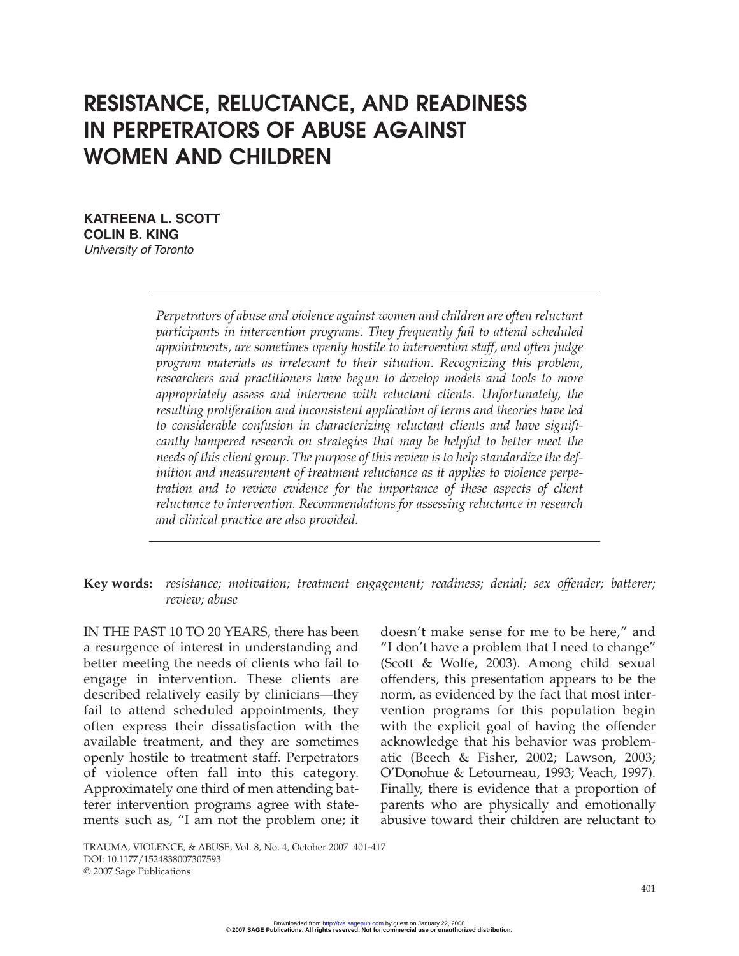# **RESISTANCE, RELUCTANCE, AND READINESS IN PERPETRATORS OF ABUSE AGAINST WOMEN AND CHILDREN**

**KATREENA L. SCOTT COLIN B. KING** University of Toronto

> *Perpetrators of abuse and violence against women and children are often reluctant participants in intervention programs. They frequently fail to attend scheduled appointments, are sometimes openly hostile to intervention staff, and often judge program materials as irrelevant to their situation. Recognizing this problem, researchers and practitioners have begun to develop models and tools to more appropriately assess and intervene with reluctant clients. Unfortunately, the resulting proliferation and inconsistent application of terms and theories have led to considerable confusion in characterizing reluctant clients and have significantly hampered research on strategies that may be helpful to better meet the needs of this client group. The purpose of this review is to help standardize the definition and measurement of treatment reluctance as it applies to violence perpetration and to review evidence for the importance of these aspects of client reluctance to intervention. Recommendations for assessing reluctance in research and clinical practice are also provided.*

# **Key words:** *resistance; motivation; treatment engagement; readiness; denial; sex offender; batterer; review; abuse*

IN THE PAST 10 TO 20 YEARS, there has been a resurgence of interest in understanding and better meeting the needs of clients who fail to engage in intervention. These clients are described relatively easily by clinicians—they fail to attend scheduled appointments, they often express their dissatisfaction with the available treatment, and they are sometimes openly hostile to treatment staff. Perpetrators of violence often fall into this category. Approximately one third of men attending batterer intervention programs agree with statements such as, "I am not the problem one; it

doesn't make sense for me to be here," and "I don't have a problem that I need to change" (Scott & Wolfe, 2003). Among child sexual offenders, this presentation appears to be the norm, as evidenced by the fact that most intervention programs for this population begin with the explicit goal of having the offender acknowledge that his behavior was problematic (Beech & Fisher, 2002; Lawson, 2003; O'Donohue & Letourneau, 1993; Veach, 1997). Finally, there is evidence that a proportion of parents who are physically and emotionally abusive toward their children are reluctant to

TRAUMA, VIOLENCE, & ABUSE, Vol. 8, No. 4, October 2007 401-417 DOI: 10.1177/1524838007307593 © 2007 Sage Publications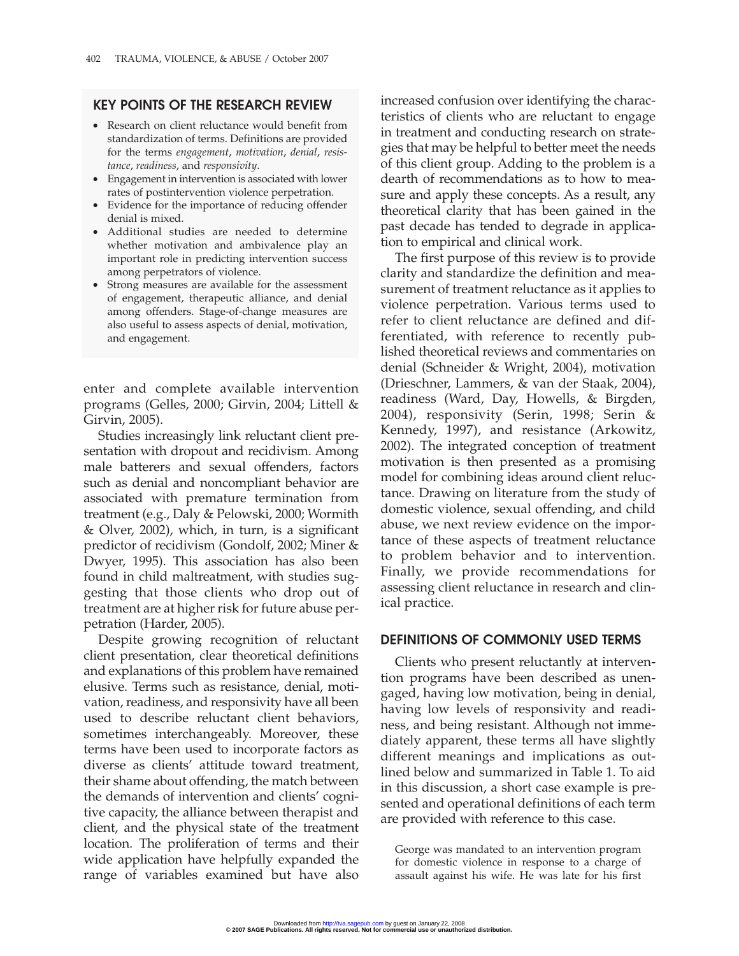# **KEY POINTS OF THE RESEARCH REVIEW**

- Research on client reluctance would benefit from standardization of terms. Definitions are provided for the terms *engagement*, *motivation*, *denial*, *resistance*, *readiness*, and *responsivity*.
- Engagement in intervention is associated with lower rates of postintervention violence perpetration.
- Evidence for the importance of reducing offender denial is mixed.
- Additional studies are needed to determine whether motivation and ambivalence play an important role in predicting intervention success among perpetrators of violence.
- Strong measures are available for the assessment of engagement, therapeutic alliance, and denial among offenders. Stage-of-change measures are also useful to assess aspects of denial, motivation, and engagement.

enter and complete available intervention programs (Gelles, 2000; Girvin, 2004; Littell & Girvin, 2005).

Studies increasingly link reluctant client presentation with dropout and recidivism. Among male batterers and sexual offenders, factors such as denial and noncompliant behavior are associated with premature termination from treatment (e.g., Daly & Pelowski, 2000; Wormith & Olver, 2002), which, in turn, is a significant predictor of recidivism (Gondolf, 2002; Miner & Dwyer, 1995). This association has also been found in child maltreatment, with studies suggesting that those clients who drop out of treatment are at higher risk for future abuse perpetration (Harder, 2005).

Despite growing recognition of reluctant client presentation, clear theoretical definitions and explanations of this problem have remained elusive. Terms such as resistance, denial, motivation, readiness, and responsivity have all been used to describe reluctant client behaviors, sometimes interchangeably. Moreover, these terms have been used to incorporate factors as diverse as clients' attitude toward treatment, their shame about offending, the match between the demands of intervention and clients' cognitive capacity, the alliance between therapist and client, and the physical state of the treatment location. The proliferation of terms and their wide application have helpfully expanded the range of variables examined but have also

increased confusion over identifying the characteristics of clients who are reluctant to engage in treatment and conducting research on strategies that may be helpful to better meet the needs of this client group. Adding to the problem is a dearth of recommendations as to how to measure and apply these concepts. As a result, any theoretical clarity that has been gained in the past decade has tended to degrade in application to empirical and clinical work.

The first purpose of this review is to provide clarity and standardize the definition and measurement of treatment reluctance as it applies to violence perpetration. Various terms used to refer to client reluctance are defined and differentiated, with reference to recently published theoretical reviews and commentaries on denial (Schneider & Wright, 2004), motivation (Drieschner, Lammers, & van der Staak, 2004), readiness (Ward, Day, Howells, & Birgden, 2004), responsivity (Serin, 1998; Serin & Kennedy, 1997), and resistance (Arkowitz, 2002). The integrated conception of treatment motivation is then presented as a promising model for combining ideas around client reluctance. Drawing on literature from the study of domestic violence, sexual offending, and child abuse, we next review evidence on the importance of these aspects of treatment reluctance to problem behavior and to intervention. Finally, we provide recommendations for assessing client reluctance in research and clinical practice.

#### **DEFINITIONS OF COMMONLY USED TERMS**

Clients who present reluctantly at intervention programs have been described as unengaged, having low motivation, being in denial, having low levels of responsivity and readiness, and being resistant. Although not immediately apparent, these terms all have slightly different meanings and implications as outlined below and summarized in Table 1. To aid in this discussion, a short case example is presented and operational definitions of each term are provided with reference to this case.

George was mandated to an intervention program for domestic violence in response to a charge of assault against his wife. He was late for his first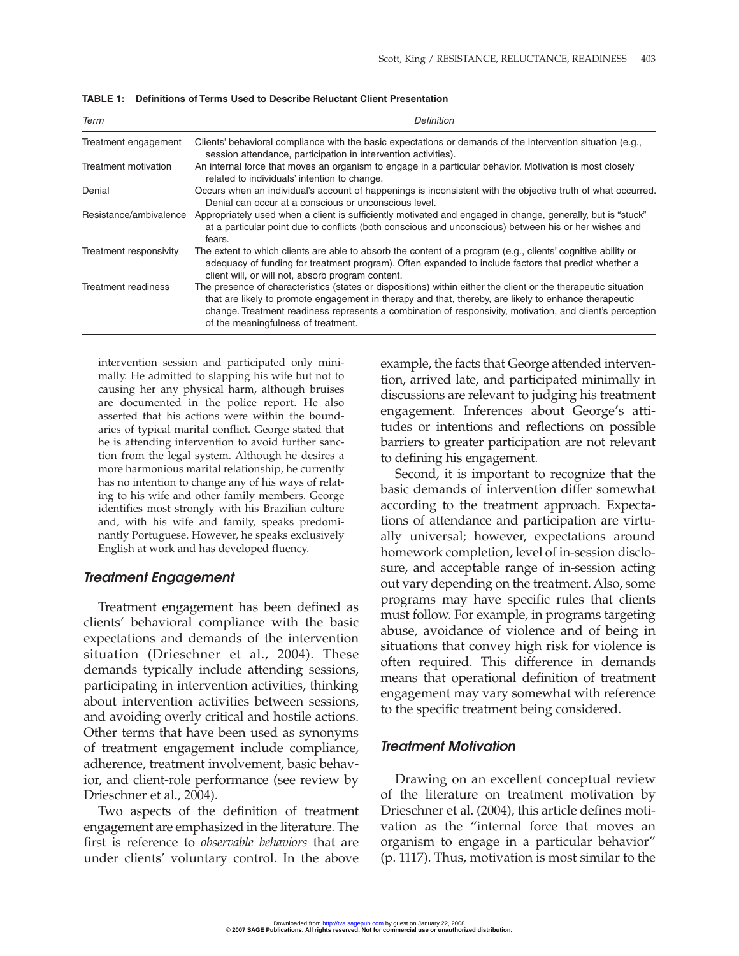| Term                   | Definition                                                                                                                                                                                                                                                                                                                                                                  |  |  |  |
|------------------------|-----------------------------------------------------------------------------------------------------------------------------------------------------------------------------------------------------------------------------------------------------------------------------------------------------------------------------------------------------------------------------|--|--|--|
| Treatment engagement   | Clients' behavioral compliance with the basic expectations or demands of the intervention situation (e.g.,<br>session attendance, participation in intervention activities).                                                                                                                                                                                                |  |  |  |
| Treatment motivation   | An internal force that moves an organism to engage in a particular behavior. Motivation is most closely<br>related to individuals' intention to change.                                                                                                                                                                                                                     |  |  |  |
| Denial                 | Occurs when an individual's account of happenings is inconsistent with the objective truth of what occurred.<br>Denial can occur at a conscious or unconscious level.                                                                                                                                                                                                       |  |  |  |
| Resistance/ambivalence | Appropriately used when a client is sufficiently motivated and engaged in change, generally, but is "stuck"<br>at a particular point due to conflicts (both conscious and unconscious) between his or her wishes and<br>fears.                                                                                                                                              |  |  |  |
| Treatment responsivity | The extent to which clients are able to absorb the content of a program (e.g., clients' cognitive ability or<br>adequacy of funding for treatment program). Often expanded to include factors that predict whether a<br>client will, or will not, absorb program content.                                                                                                   |  |  |  |
| Treatment readiness    | The presence of characteristics (states or dispositions) within either the client or the therapeutic situation<br>that are likely to promote engagement in therapy and that, thereby, are likely to enhance therapeutic<br>change. Treatment readiness represents a combination of responsivity, motivation, and client's perception<br>of the meaningfulness of treatment. |  |  |  |

**TABLE 1: Definitions of Terms Used to Describe Reluctant Client Presentation**

intervention session and participated only minimally. He admitted to slapping his wife but not to causing her any physical harm, although bruises are documented in the police report. He also asserted that his actions were within the boundaries of typical marital conflict. George stated that he is attending intervention to avoid further sanction from the legal system. Although he desires a more harmonious marital relationship, he currently has no intention to change any of his ways of relating to his wife and other family members. George identifies most strongly with his Brazilian culture and, with his wife and family, speaks predominantly Portuguese. However, he speaks exclusively English at work and has developed fluency.

#### **Treatment Engagement**

Treatment engagement has been defined as clients' behavioral compliance with the basic expectations and demands of the intervention situation (Drieschner et al., 2004). These demands typically include attending sessions, participating in intervention activities, thinking about intervention activities between sessions, and avoiding overly critical and hostile actions. Other terms that have been used as synonyms of treatment engagement include compliance, adherence, treatment involvement, basic behavior, and client-role performance (see review by Drieschner et al., 2004).

Two aspects of the definition of treatment engagement are emphasized in the literature. The first is reference to *observable behaviors* that are under clients' voluntary control. In the above

example, the facts that George attended intervention, arrived late, and participated minimally in discussions are relevant to judging his treatment engagement. Inferences about George's attitudes or intentions and reflections on possible barriers to greater participation are not relevant to defining his engagement.

Second, it is important to recognize that the basic demands of intervention differ somewhat according to the treatment approach. Expectations of attendance and participation are virtually universal; however, expectations around homework completion, level of in-session disclosure, and acceptable range of in-session acting out vary depending on the treatment. Also, some programs may have specific rules that clients must follow. For example, in programs targeting abuse, avoidance of violence and of being in situations that convey high risk for violence is often required. This difference in demands means that operational definition of treatment engagement may vary somewhat with reference to the specific treatment being considered.

#### **Treatment Motivation**

Drawing on an excellent conceptual review of the literature on treatment motivation by Drieschner et al. (2004), this article defines motivation as the "internal force that moves an organism to engage in a particular behavior" (p. 1117). Thus, motivation is most similar to the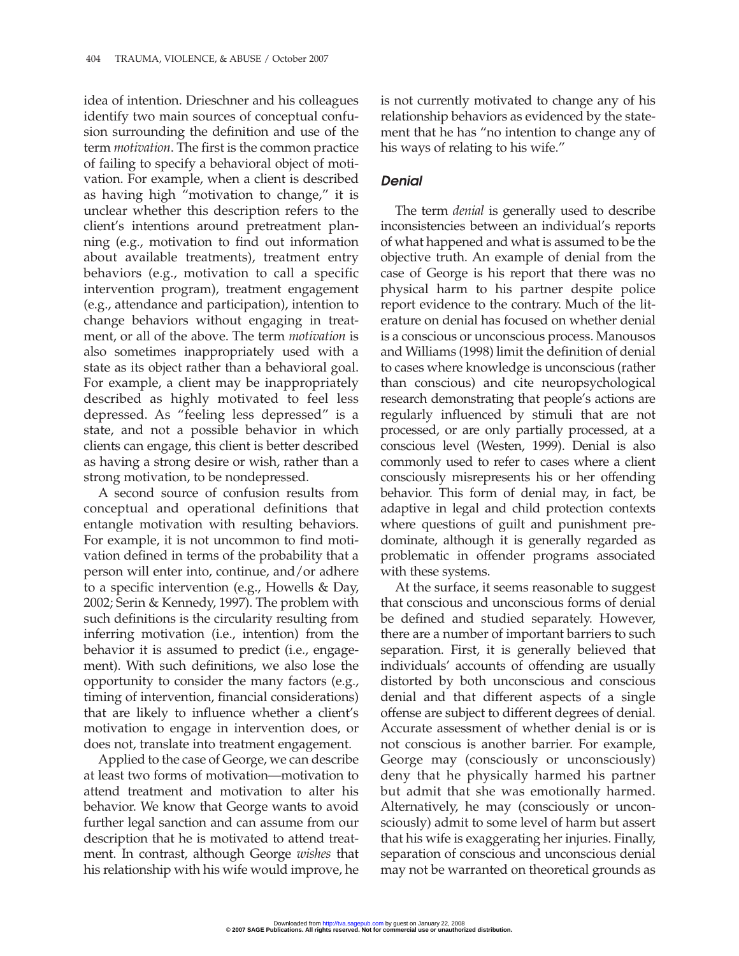idea of intention. Drieschner and his colleagues identify two main sources of conceptual confusion surrounding the definition and use of the term *motivation*. The first is the common practice of failing to specify a behavioral object of motivation. For example, when a client is described as having high "motivation to change," it is unclear whether this description refers to the client's intentions around pretreatment planning (e.g., motivation to find out information about available treatments), treatment entry behaviors (e.g., motivation to call a specific intervention program), treatment engagement (e.g., attendance and participation), intention to change behaviors without engaging in treatment, or all of the above. The term *motivation* is also sometimes inappropriately used with a state as its object rather than a behavioral goal. For example, a client may be inappropriately described as highly motivated to feel less depressed. As "feeling less depressed" is a state, and not a possible behavior in which clients can engage, this client is better described as having a strong desire or wish, rather than a strong motivation, to be nondepressed.

A second source of confusion results from conceptual and operational definitions that entangle motivation with resulting behaviors. For example, it is not uncommon to find motivation defined in terms of the probability that a person will enter into, continue, and/or adhere to a specific intervention (e.g., Howells & Day, 2002; Serin & Kennedy, 1997). The problem with such definitions is the circularity resulting from inferring motivation (i.e., intention) from the behavior it is assumed to predict (i.e., engagement). With such definitions, we also lose the opportunity to consider the many factors (e.g., timing of intervention, financial considerations) that are likely to influence whether a client's motivation to engage in intervention does, or does not, translate into treatment engagement.

Applied to the case of George, we can describe at least two forms of motivation—motivation to attend treatment and motivation to alter his behavior. We know that George wants to avoid further legal sanction and can assume from our description that he is motivated to attend treatment. In contrast, although George *wishes* that his relationship with his wife would improve, he

is not currently motivated to change any of his relationship behaviors as evidenced by the statement that he has "no intention to change any of his ways of relating to his wife."

# **Denial**

The term *denial* is generally used to describe inconsistencies between an individual's reports of what happened and what is assumed to be the objective truth. An example of denial from the case of George is his report that there was no physical harm to his partner despite police report evidence to the contrary. Much of the literature on denial has focused on whether denial is a conscious or unconscious process. Manousos and Williams (1998) limit the definition of denial to cases where knowledge is unconscious (rather than conscious) and cite neuropsychological research demonstrating that people's actions are regularly influenced by stimuli that are not processed, or are only partially processed, at a conscious level (Westen, 1999). Denial is also commonly used to refer to cases where a client consciously misrepresents his or her offending behavior. This form of denial may, in fact, be adaptive in legal and child protection contexts where questions of guilt and punishment predominate, although it is generally regarded as problematic in offender programs associated with these systems.

At the surface, it seems reasonable to suggest that conscious and unconscious forms of denial be defined and studied separately. However, there are a number of important barriers to such separation. First, it is generally believed that individuals' accounts of offending are usually distorted by both unconscious and conscious denial and that different aspects of a single offense are subject to different degrees of denial. Accurate assessment of whether denial is or is not conscious is another barrier. For example, George may (consciously or unconsciously) deny that he physically harmed his partner but admit that she was emotionally harmed. Alternatively, he may (consciously or unconsciously) admit to some level of harm but assert that his wife is exaggerating her injuries. Finally, separation of conscious and unconscious denial may not be warranted on theoretical grounds as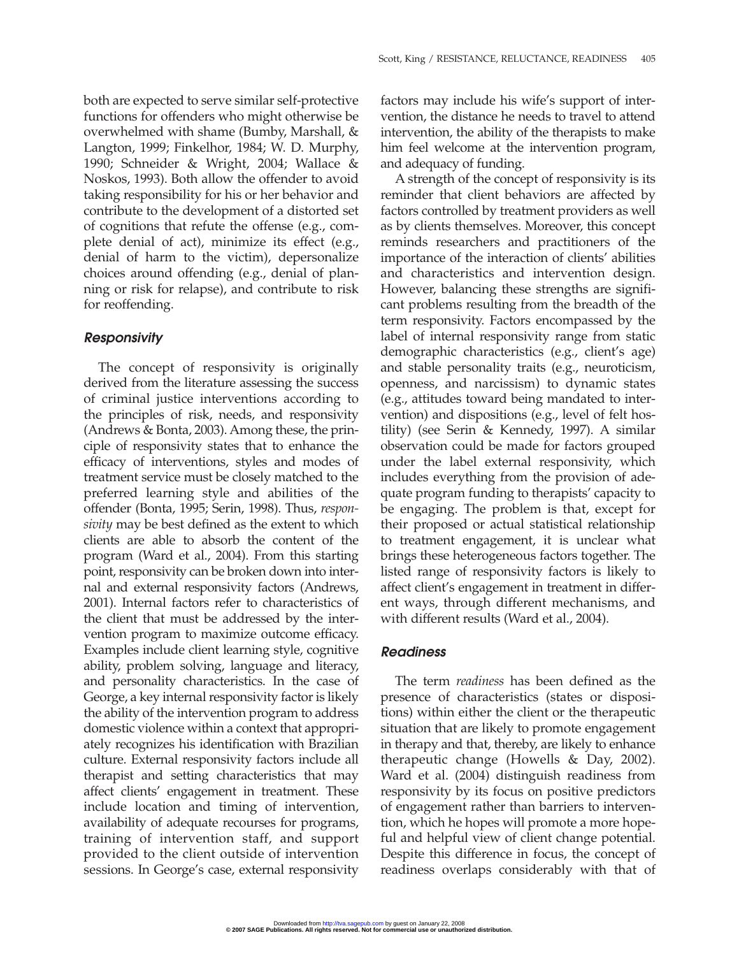both are expected to serve similar self-protective functions for offenders who might otherwise be overwhelmed with shame (Bumby, Marshall, & Langton, 1999; Finkelhor, 1984; W. D. Murphy, 1990; Schneider & Wright, 2004; Wallace & Noskos, 1993). Both allow the offender to avoid taking responsibility for his or her behavior and contribute to the development of a distorted set of cognitions that refute the offense (e.g., complete denial of act), minimize its effect (e.g., denial of harm to the victim), depersonalize choices around offending (e.g., denial of planning or risk for relapse), and contribute to risk for reoffending.

# **Responsivity**

The concept of responsivity is originally derived from the literature assessing the success of criminal justice interventions according to the principles of risk, needs, and responsivity (Andrews & Bonta, 2003). Among these, the principle of responsivity states that to enhance the efficacy of interventions, styles and modes of treatment service must be closely matched to the preferred learning style and abilities of the offender (Bonta, 1995; Serin, 1998). Thus, *responsivity* may be best defined as the extent to which clients are able to absorb the content of the program (Ward et al., 2004). From this starting point, responsivity can be broken down into internal and external responsivity factors (Andrews, 2001). Internal factors refer to characteristics of the client that must be addressed by the intervention program to maximize outcome efficacy. Examples include client learning style, cognitive ability, problem solving, language and literacy, and personality characteristics. In the case of George, a key internal responsivity factor is likely the ability of the intervention program to address domestic violence within a context that appropriately recognizes his identification with Brazilian culture. External responsivity factors include all therapist and setting characteristics that may affect clients' engagement in treatment. These include location and timing of intervention, availability of adequate recourses for programs, training of intervention staff, and support provided to the client outside of intervention sessions. In George's case, external responsivity

factors may include his wife's support of intervention, the distance he needs to travel to attend intervention, the ability of the therapists to make him feel welcome at the intervention program, and adequacy of funding.

A strength of the concept of responsivity is its reminder that client behaviors are affected by factors controlled by treatment providers as well as by clients themselves. Moreover, this concept reminds researchers and practitioners of the importance of the interaction of clients' abilities and characteristics and intervention design. However, balancing these strengths are significant problems resulting from the breadth of the term responsivity. Factors encompassed by the label of internal responsivity range from static demographic characteristics (e.g., client's age) and stable personality traits (e.g., neuroticism, openness, and narcissism) to dynamic states (e.g., attitudes toward being mandated to intervention) and dispositions (e.g., level of felt hostility) (see Serin & Kennedy, 1997). A similar observation could be made for factors grouped under the label external responsivity, which includes everything from the provision of adequate program funding to therapists' capacity to be engaging. The problem is that, except for their proposed or actual statistical relationship to treatment engagement, it is unclear what brings these heterogeneous factors together. The listed range of responsivity factors is likely to affect client's engagement in treatment in different ways, through different mechanisms, and with different results (Ward et al., 2004).

# **Readiness**

The term *readiness* has been defined as the presence of characteristics (states or dispositions) within either the client or the therapeutic situation that are likely to promote engagement in therapy and that, thereby, are likely to enhance therapeutic change (Howells & Day, 2002). Ward et al. (2004) distinguish readiness from responsivity by its focus on positive predictors of engagement rather than barriers to intervention, which he hopes will promote a more hopeful and helpful view of client change potential. Despite this difference in focus, the concept of readiness overlaps considerably with that of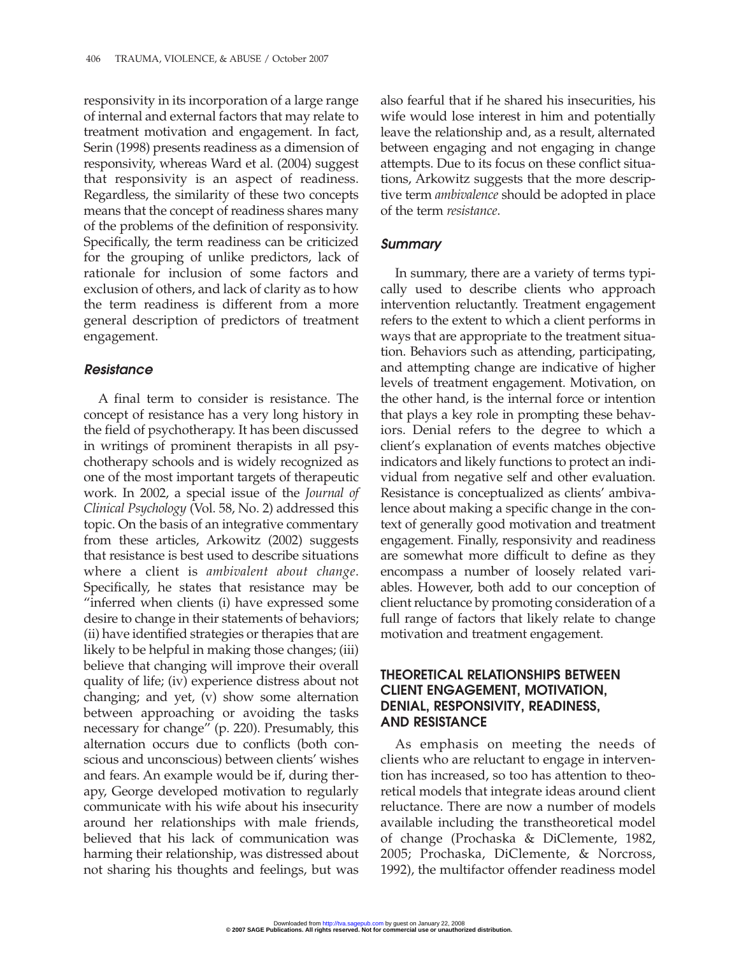responsivity in its incorporation of a large range of internal and external factors that may relate to treatment motivation and engagement. In fact, Serin (1998) presents readiness as a dimension of responsivity, whereas Ward et al. (2004) suggest that responsivity is an aspect of readiness. Regardless, the similarity of these two concepts means that the concept of readiness shares many of the problems of the definition of responsivity. Specifically, the term readiness can be criticized for the grouping of unlike predictors, lack of rationale for inclusion of some factors and exclusion of others, and lack of clarity as to how the term readiness is different from a more general description of predictors of treatment engagement.

# **Resistance**

A final term to consider is resistance. The concept of resistance has a very long history in the field of psychotherapy. It has been discussed in writings of prominent therapists in all psychotherapy schools and is widely recognized as one of the most important targets of therapeutic work. In 2002, a special issue of the *Journal of Clinical Psychology* (Vol. 58, No. 2) addressed this topic. On the basis of an integrative commentary from these articles, Arkowitz (2002) suggests that resistance is best used to describe situations where a client is *ambivalent about change*. Specifically, he states that resistance may be "inferred when clients (i) have expressed some desire to change in their statements of behaviors; (ii) have identified strategies or therapies that are likely to be helpful in making those changes; (iii) believe that changing will improve their overall quality of life; (iv) experience distress about not changing; and yet, (v) show some alternation between approaching or avoiding the tasks necessary for change" (p. 220). Presumably, this alternation occurs due to conflicts (both conscious and unconscious) between clients' wishes and fears. An example would be if, during therapy, George developed motivation to regularly communicate with his wife about his insecurity around her relationships with male friends, believed that his lack of communication was harming their relationship, was distressed about not sharing his thoughts and feelings, but was

also fearful that if he shared his insecurities, his wife would lose interest in him and potentially leave the relationship and, as a result, alternated between engaging and not engaging in change attempts. Due to its focus on these conflict situations, Arkowitz suggests that the more descriptive term *ambivalence* should be adopted in place of the term *resistance*.

# **Summary**

In summary, there are a variety of terms typically used to describe clients who approach intervention reluctantly. Treatment engagement refers to the extent to which a client performs in ways that are appropriate to the treatment situation. Behaviors such as attending, participating, and attempting change are indicative of higher levels of treatment engagement. Motivation, on the other hand, is the internal force or intention that plays a key role in prompting these behaviors. Denial refers to the degree to which a client's explanation of events matches objective indicators and likely functions to protect an individual from negative self and other evaluation. Resistance is conceptualized as clients' ambivalence about making a specific change in the context of generally good motivation and treatment engagement. Finally, responsivity and readiness are somewhat more difficult to define as they encompass a number of loosely related variables. However, both add to our conception of client reluctance by promoting consideration of a full range of factors that likely relate to change motivation and treatment engagement.

# **THEORETICAL RELATIONSHIPS BETWEEN CLIENT ENGAGEMENT, MOTIVATION, DENIAL, RESPONSIVITY, READINESS, AND RESISTANCE**

As emphasis on meeting the needs of clients who are reluctant to engage in intervention has increased, so too has attention to theoretical models that integrate ideas around client reluctance. There are now a number of models available including the transtheoretical model of change (Prochaska & DiClemente, 1982, 2005; Prochaska, DiClemente, & Norcross, 1992), the multifactor offender readiness model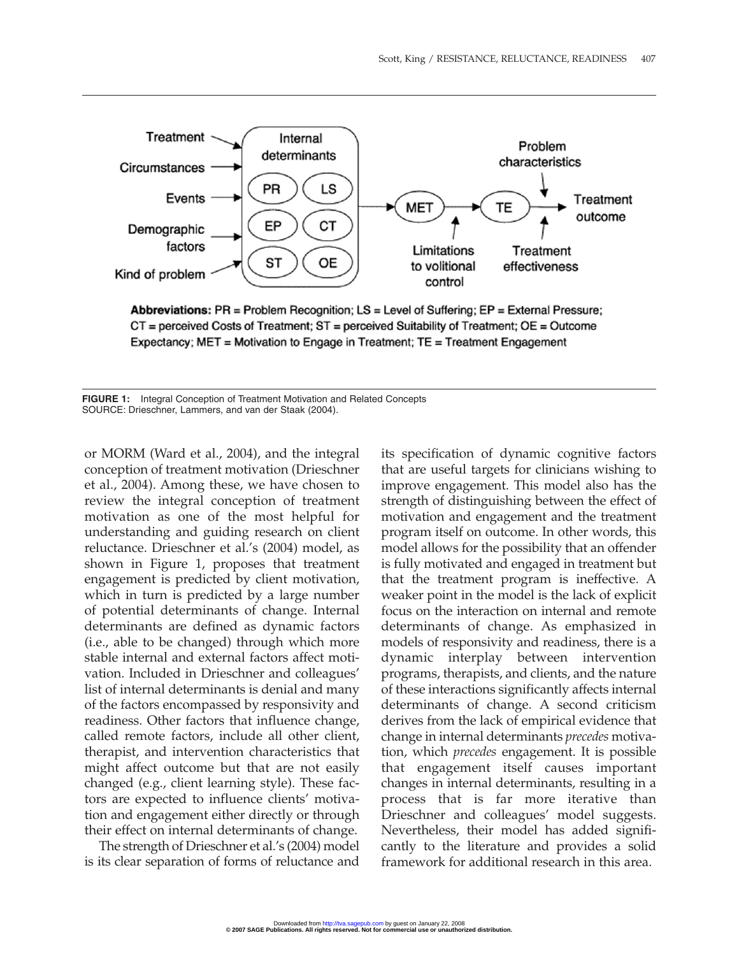

Abbreviations: PR = Problem Recognition; LS = Level of Suffering; EP = External Pressure;  $CT =$  perceived Costs of Treatment;  $ST =$  perceived Suitability of Treatment;  $OE =$  Outcome Expectancy; MET = Motivation to Engage in Treatment; TE = Treatment Engagement

**FIGURE 1:** Integral Conception of Treatment Motivation and Related Concepts SOURCE: Drieschner, Lammers, and van der Staak (2004).

or MORM (Ward et al., 2004), and the integral conception of treatment motivation (Drieschner et al., 2004). Among these, we have chosen to review the integral conception of treatment motivation as one of the most helpful for understanding and guiding research on client reluctance. Drieschner et al.'s (2004) model, as shown in Figure 1, proposes that treatment engagement is predicted by client motivation, which in turn is predicted by a large number of potential determinants of change. Internal determinants are defined as dynamic factors (i.e., able to be changed) through which more stable internal and external factors affect motivation. Included in Drieschner and colleagues' list of internal determinants is denial and many of the factors encompassed by responsivity and readiness. Other factors that influence change, called remote factors, include all other client, therapist, and intervention characteristics that might affect outcome but that are not easily changed (e.g., client learning style). These factors are expected to influence clients' motivation and engagement either directly or through their effect on internal determinants of change.

The strength of Drieschner et al.'s (2004) model is its clear separation of forms of reluctance and its specification of dynamic cognitive factors that are useful targets for clinicians wishing to improve engagement. This model also has the strength of distinguishing between the effect of motivation and engagement and the treatment program itself on outcome. In other words, this model allows for the possibility that an offender is fully motivated and engaged in treatment but that the treatment program is ineffective. A weaker point in the model is the lack of explicit focus on the interaction on internal and remote determinants of change. As emphasized in models of responsivity and readiness, there is a dynamic interplay between intervention programs, therapists, and clients, and the nature of these interactions significantly affects internal determinants of change. A second criticism derives from the lack of empirical evidence that change in internal determinants *precedes* motivation, which *precedes* engagement. It is possible that engagement itself causes important changes in internal determinants, resulting in a process that is far more iterative than Drieschner and colleagues' model suggests. Nevertheless, their model has added significantly to the literature and provides a solid framework for additional research in this area.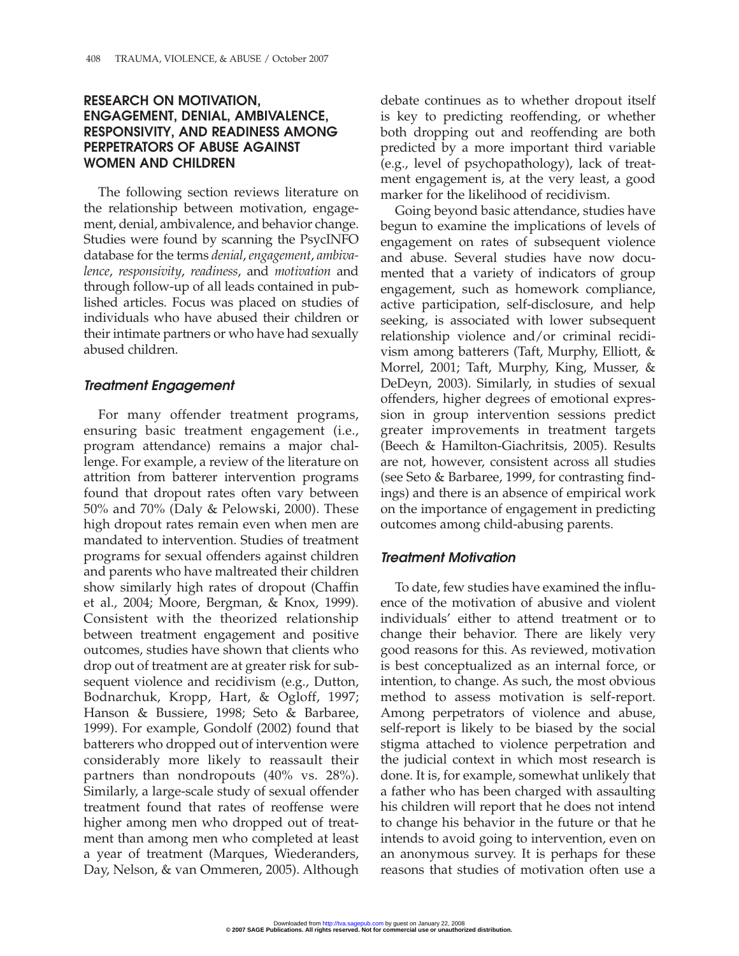# **RESEARCH ON MOTIVATION, ENGAGEMENT, DENIAL, AMBIVALENCE, RESPONSIVITY, AND READINESS AMONG PERPETRATORS OF ABUSE AGAINST WOMEN AND CHILDREN**

The following section reviews literature on the relationship between motivation, engagement, denial, ambivalence, and behavior change. Studies were found by scanning the PsycINFO database for the terms *denial*, *engagement*, *ambivalence*, *responsivity*, *readiness*, and *motivation* and through follow-up of all leads contained in published articles. Focus was placed on studies of individuals who have abused their children or their intimate partners or who have had sexually abused children.

# **Treatment Engagement**

For many offender treatment programs, ensuring basic treatment engagement (i.e., program attendance) remains a major challenge. For example, a review of the literature on attrition from batterer intervention programs found that dropout rates often vary between 50% and 70% (Daly & Pelowski, 2000). These high dropout rates remain even when men are mandated to intervention. Studies of treatment programs for sexual offenders against children and parents who have maltreated their children show similarly high rates of dropout (Chaffin et al., 2004; Moore, Bergman, & Knox, 1999). Consistent with the theorized relationship between treatment engagement and positive outcomes, studies have shown that clients who drop out of treatment are at greater risk for subsequent violence and recidivism (e.g., Dutton, Bodnarchuk, Kropp, Hart, & Ogloff, 1997; Hanson & Bussiere, 1998; Seto & Barbaree, 1999). For example, Gondolf (2002) found that batterers who dropped out of intervention were considerably more likely to reassault their partners than nondropouts (40% vs. 28%). Similarly, a large-scale study of sexual offender treatment found that rates of reoffense were higher among men who dropped out of treatment than among men who completed at least a year of treatment (Marques, Wiederanders, Day, Nelson, & van Ommeren, 2005). Although

debate continues as to whether dropout itself is key to predicting reoffending, or whether both dropping out and reoffending are both predicted by a more important third variable (e.g., level of psychopathology), lack of treatment engagement is, at the very least, a good marker for the likelihood of recidivism.

Going beyond basic attendance, studies have begun to examine the implications of levels of engagement on rates of subsequent violence and abuse. Several studies have now documented that a variety of indicators of group engagement, such as homework compliance, active participation, self-disclosure, and help seeking, is associated with lower subsequent relationship violence and/or criminal recidivism among batterers (Taft, Murphy, Elliott, & Morrel, 2001; Taft, Murphy, King, Musser, & DeDeyn, 2003). Similarly, in studies of sexual offenders, higher degrees of emotional expression in group intervention sessions predict greater improvements in treatment targets (Beech & Hamilton-Giachritsis, 2005). Results are not, however, consistent across all studies (see Seto & Barbaree, 1999, for contrasting findings) and there is an absence of empirical work on the importance of engagement in predicting outcomes among child-abusing parents.

# **Treatment Motivation**

To date, few studies have examined the influence of the motivation of abusive and violent individuals' either to attend treatment or to change their behavior. There are likely very good reasons for this. As reviewed, motivation is best conceptualized as an internal force, or intention, to change. As such, the most obvious method to assess motivation is self-report. Among perpetrators of violence and abuse, self-report is likely to be biased by the social stigma attached to violence perpetration and the judicial context in which most research is done. It is, for example, somewhat unlikely that a father who has been charged with assaulting his children will report that he does not intend to change his behavior in the future or that he intends to avoid going to intervention, even on an anonymous survey. It is perhaps for these reasons that studies of motivation often use a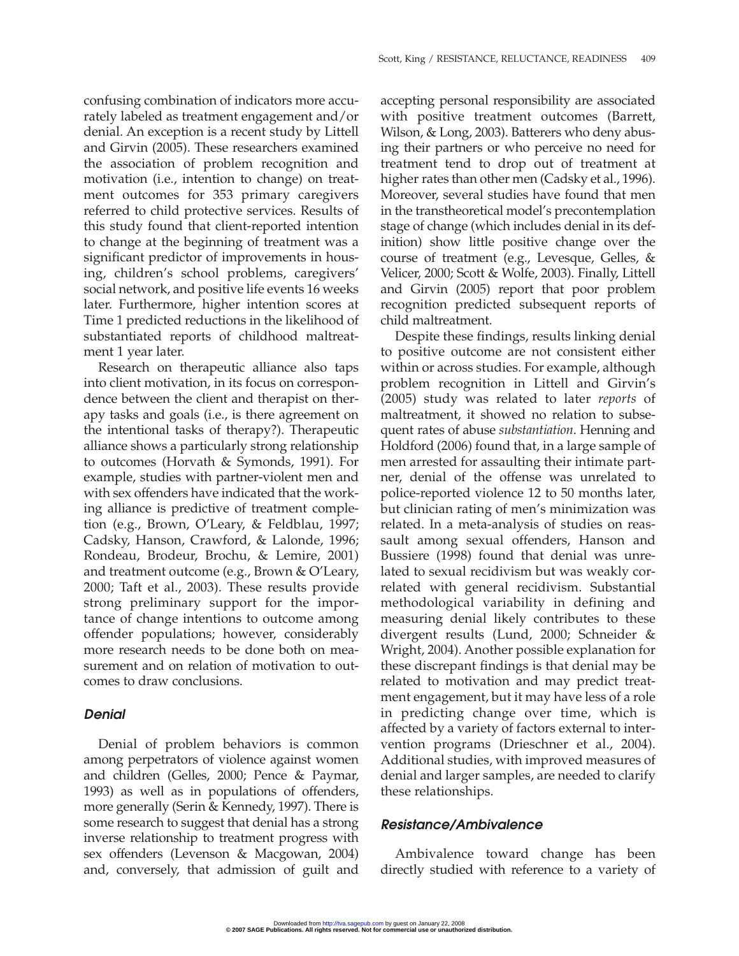confusing combination of indicators more accurately labeled as treatment engagement and/or denial. An exception is a recent study by Littell and Girvin (2005). These researchers examined the association of problem recognition and motivation (i.e., intention to change) on treatment outcomes for 353 primary caregivers referred to child protective services. Results of this study found that client-reported intention to change at the beginning of treatment was a significant predictor of improvements in housing, children's school problems, caregivers' social network, and positive life events 16 weeks later. Furthermore, higher intention scores at Time 1 predicted reductions in the likelihood of substantiated reports of childhood maltreatment 1 year later.

Research on therapeutic alliance also taps into client motivation, in its focus on correspondence between the client and therapist on therapy tasks and goals (i.e., is there agreement on the intentional tasks of therapy?). Therapeutic alliance shows a particularly strong relationship to outcomes (Horvath & Symonds, 1991). For example, studies with partner-violent men and with sex offenders have indicated that the working alliance is predictive of treatment completion (e.g., Brown, O'Leary, & Feldblau, 1997; Cadsky, Hanson, Crawford, & Lalonde, 1996; Rondeau, Brodeur, Brochu, & Lemire, 2001) and treatment outcome (e.g., Brown & O'Leary, 2000; Taft et al., 2003). These results provide strong preliminary support for the importance of change intentions to outcome among offender populations; however, considerably more research needs to be done both on measurement and on relation of motivation to outcomes to draw conclusions.

# **Denial**

Denial of problem behaviors is common among perpetrators of violence against women and children (Gelles, 2000; Pence & Paymar, 1993) as well as in populations of offenders, more generally (Serin & Kennedy, 1997). There is some research to suggest that denial has a strong inverse relationship to treatment progress with sex offenders (Levenson & Macgowan, 2004) and, conversely, that admission of guilt and

accepting personal responsibility are associated with positive treatment outcomes (Barrett, Wilson, & Long, 2003). Batterers who deny abusing their partners or who perceive no need for treatment tend to drop out of treatment at higher rates than other men (Cadsky et al., 1996). Moreover, several studies have found that men in the transtheoretical model's precontemplation stage of change (which includes denial in its definition) show little positive change over the course of treatment (e.g., Levesque, Gelles, & Velicer, 2000; Scott & Wolfe, 2003). Finally, Littell and Girvin (2005) report that poor problem recognition predicted subsequent reports of child maltreatment.

Despite these findings, results linking denial to positive outcome are not consistent either within or across studies. For example, although problem recognition in Littell and Girvin's (2005) study was related to later *reports* of maltreatment, it showed no relation to subsequent rates of abuse *substantiation*. Henning and Holdford (2006) found that, in a large sample of men arrested for assaulting their intimate partner, denial of the offense was unrelated to police-reported violence 12 to 50 months later, but clinician rating of men's minimization was related. In a meta-analysis of studies on reassault among sexual offenders, Hanson and Bussiere (1998) found that denial was unrelated to sexual recidivism but was weakly correlated with general recidivism. Substantial methodological variability in defining and measuring denial likely contributes to these divergent results (Lund, 2000; Schneider & Wright, 2004). Another possible explanation for these discrepant findings is that denial may be related to motivation and may predict treatment engagement, but it may have less of a role in predicting change over time, which is affected by a variety of factors external to intervention programs (Drieschner et al., 2004). Additional studies, with improved measures of denial and larger samples, are needed to clarify these relationships.

#### **Resistance/Ambivalence**

Ambivalence toward change has been directly studied with reference to a variety of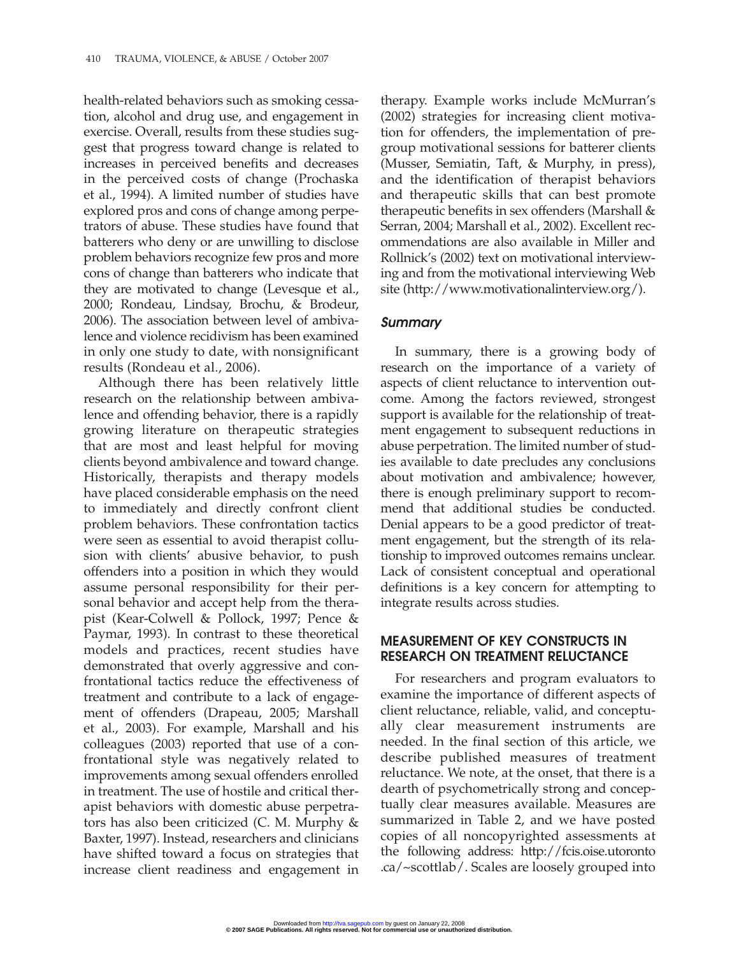health-related behaviors such as smoking cessation, alcohol and drug use, and engagement in exercise. Overall, results from these studies suggest that progress toward change is related to increases in perceived benefits and decreases in the perceived costs of change (Prochaska et al., 1994). A limited number of studies have explored pros and cons of change among perpetrators of abuse. These studies have found that batterers who deny or are unwilling to disclose problem behaviors recognize few pros and more cons of change than batterers who indicate that they are motivated to change (Levesque et al., 2000; Rondeau, Lindsay, Brochu, & Brodeur, 2006). The association between level of ambivalence and violence recidivism has been examined in only one study to date, with nonsignificant results (Rondeau et al., 2006).

Although there has been relatively little research on the relationship between ambivalence and offending behavior, there is a rapidly growing literature on therapeutic strategies that are most and least helpful for moving clients beyond ambivalence and toward change. Historically, therapists and therapy models have placed considerable emphasis on the need to immediately and directly confront client problem behaviors. These confrontation tactics were seen as essential to avoid therapist collusion with clients' abusive behavior, to push offenders into a position in which they would assume personal responsibility for their personal behavior and accept help from the therapist (Kear-Colwell & Pollock, 1997; Pence & Paymar, 1993). In contrast to these theoretical models and practices, recent studies have demonstrated that overly aggressive and confrontational tactics reduce the effectiveness of treatment and contribute to a lack of engagement of offenders (Drapeau, 2005; Marshall et al., 2003). For example, Marshall and his colleagues (2003) reported that use of a confrontational style was negatively related to improvements among sexual offenders enrolled in treatment. The use of hostile and critical therapist behaviors with domestic abuse perpetrators has also been criticized (C. M. Murphy & Baxter, 1997). Instead, researchers and clinicians have shifted toward a focus on strategies that increase client readiness and engagement in

therapy. Example works include McMurran's (2002) strategies for increasing client motivation for offenders, the implementation of pregroup motivational sessions for batterer clients (Musser, Semiatin, Taft, & Murphy, in press), and the identification of therapist behaviors and therapeutic skills that can best promote therapeutic benefits in sex offenders (Marshall & Serran, 2004; Marshall et al., 2002). Excellent recommendations are also available in Miller and Rollnick's (2002) text on motivational interviewing and from the motivational interviewing Web site (http://www.motivationalinterview.org/).

# **Summary**

In summary, there is a growing body of research on the importance of a variety of aspects of client reluctance to intervention outcome. Among the factors reviewed, strongest support is available for the relationship of treatment engagement to subsequent reductions in abuse perpetration. The limited number of studies available to date precludes any conclusions about motivation and ambivalence; however, there is enough preliminary support to recommend that additional studies be conducted. Denial appears to be a good predictor of treatment engagement, but the strength of its relationship to improved outcomes remains unclear. Lack of consistent conceptual and operational definitions is a key concern for attempting to integrate results across studies.

# **MEASUREMENT OF KEY CONSTRUCTS IN RESEARCH ON TREATMENT RELUCTANCE**

For researchers and program evaluators to examine the importance of different aspects of client reluctance, reliable, valid, and conceptually clear measurement instruments are needed. In the final section of this article, we describe published measures of treatment reluctance. We note, at the onset, that there is a dearth of psychometrically strong and conceptually clear measures available. Measures are summarized in Table 2, and we have posted copies of all noncopyrighted assessments at the following address: http://fcis.oise.utoronto .ca/~scottlab/. Scales are loosely grouped into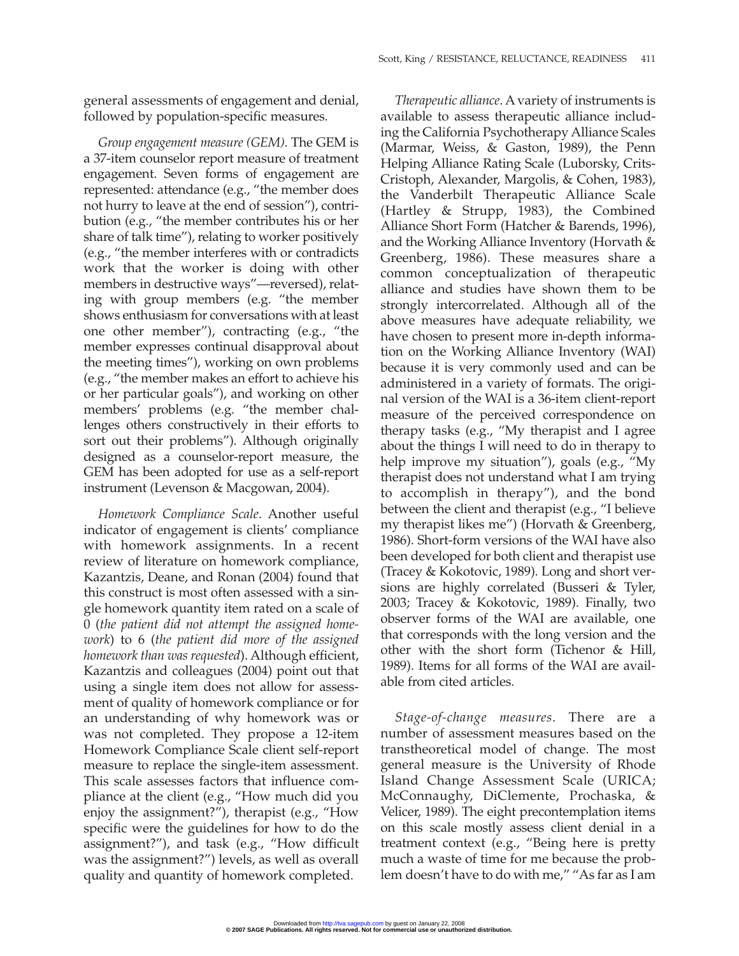general assessments of engagement and denial, followed by population-specific measures.

*Group engagement measure (GEM)*. The GEM is a 37-item counselor report measure of treatment engagement. Seven forms of engagement are represented: attendance (e.g., "the member does not hurry to leave at the end of session"), contribution (e.g., "the member contributes his or her share of talk time"), relating to worker positively (e.g., "the member interferes with or contradicts work that the worker is doing with other members in destructive ways"—reversed), relating with group members (e.g. "the member shows enthusiasm for conversations with at least one other member"), contracting (e.g., "the member expresses continual disapproval about the meeting times"), working on own problems (e.g., "the member makes an effort to achieve his or her particular goals"), and working on other members' problems (e.g. "the member challenges others constructively in their efforts to sort out their problems"). Although originally designed as a counselor-report measure, the GEM has been adopted for use as a self-report instrument (Levenson & Macgowan, 2004).

*Homework Compliance Scale*. Another useful indicator of engagement is clients' compliance with homework assignments. In a recent review of literature on homework compliance, Kazantzis, Deane, and Ronan (2004) found that this construct is most often assessed with a single homework quantity item rated on a scale of 0 (*the patient did not attempt the assigned homework*) to 6 (*the patient did more of the assigned homework than was requested*). Although efficient, Kazantzis and colleagues (2004) point out that using a single item does not allow for assessment of quality of homework compliance or for an understanding of why homework was or was not completed. They propose a 12-item Homework Compliance Scale client self-report measure to replace the single-item assessment. This scale assesses factors that influence compliance at the client (e.g., "How much did you enjoy the assignment?"), therapist (e.g., "How specific were the guidelines for how to do the assignment?"), and task (e.g., "How difficult was the assignment?") levels, as well as overall quality and quantity of homework completed.

*Therapeutic alliance*. A variety of instruments is available to assess therapeutic alliance including the California Psychotherapy Alliance Scales (Marmar, Weiss, & Gaston, 1989), the Penn Helping Alliance Rating Scale (Luborsky, Crits-Cristoph, Alexander, Margolis, & Cohen, 1983), the Vanderbilt Therapeutic Alliance Scale (Hartley & Strupp, 1983), the Combined Alliance Short Form (Hatcher & Barends, 1996), and the Working Alliance Inventory (Horvath & Greenberg, 1986). These measures share a common conceptualization of therapeutic alliance and studies have shown them to be strongly intercorrelated. Although all of the above measures have adequate reliability, we have chosen to present more in-depth information on the Working Alliance Inventory (WAI) because it is very commonly used and can be administered in a variety of formats. The original version of the WAI is a 36-item client-report measure of the perceived correspondence on therapy tasks (e.g., "My therapist and I agree about the things I will need to do in therapy to help improve my situation"), goals (e.g., "My therapist does not understand what I am trying to accomplish in therapy"), and the bond between the client and therapist (e.g., "I believe my therapist likes me") (Horvath & Greenberg, 1986). Short-form versions of the WAI have also been developed for both client and therapist use (Tracey & Kokotovic, 1989). Long and short versions are highly correlated (Busseri & Tyler, 2003; Tracey & Kokotovic, 1989). Finally, two observer forms of the WAI are available, one that corresponds with the long version and the other with the short form (Tichenor & Hill, 1989). Items for all forms of the WAI are available from cited articles.

*Stage-of-change measures*. There are a number of assessment measures based on the transtheoretical model of change. The most general measure is the University of Rhode Island Change Assessment Scale (URICA; McConnaughy, DiClemente, Prochaska, & Velicer, 1989). The eight precontemplation items on this scale mostly assess client denial in a treatment context (e.g., "Being here is pretty much a waste of time for me because the problem doesn't have to do with me," "As far as I am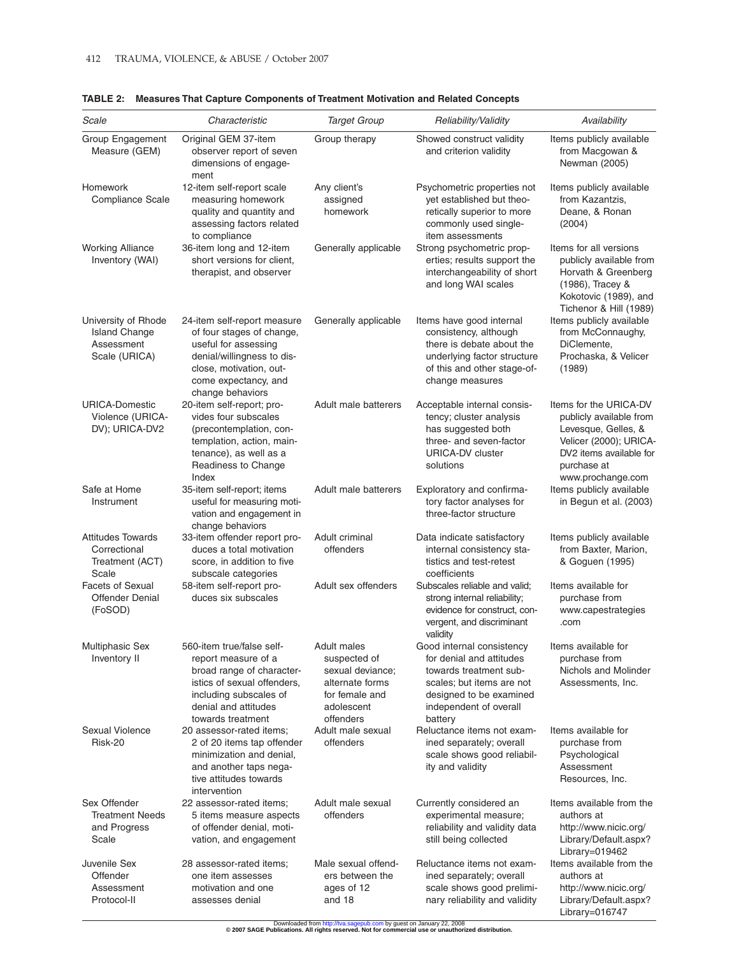| Scale                                                                      | Characteristic                                                                                                                                                                        | <b>Target Group</b>                                                                                             | Reliability/Validity                                                                                                                                                         | Availability                                                                                                                                                      |
|----------------------------------------------------------------------------|---------------------------------------------------------------------------------------------------------------------------------------------------------------------------------------|-----------------------------------------------------------------------------------------------------------------|------------------------------------------------------------------------------------------------------------------------------------------------------------------------------|-------------------------------------------------------------------------------------------------------------------------------------------------------------------|
| Group Engagement<br>Measure (GEM)                                          | Original GEM 37-item<br>observer report of seven<br>dimensions of engage-<br>ment                                                                                                     | Group therapy                                                                                                   | Showed construct validity<br>and criterion validity                                                                                                                          | Items publicly available<br>from Macgowan &<br>Newman (2005)                                                                                                      |
| Homework<br>Compliance Scale                                               | 12-item self-report scale<br>measuring homework<br>quality and quantity and<br>assessing factors related<br>to compliance                                                             | Any client's<br>assigned<br>homework                                                                            | Psychometric properties not<br>yet established but theo-<br>retically superior to more<br>commonly used single-<br>item assessments                                          | Items publicly available<br>from Kazantzis,<br>Deane, & Ronan<br>(2004)                                                                                           |
| <b>Working Alliance</b><br>Inventory (WAI)                                 | 36-item long and 12-item<br>short versions for client,<br>therapist, and observer                                                                                                     | Generally applicable                                                                                            | Strong psychometric prop-<br>erties; results support the<br>interchangeability of short<br>and long WAI scales                                                               | Items for all versions<br>publicly available from<br>Horvath & Greenberg<br>(1986), Tracey &<br>Kokotovic (1989), and<br>Tichenor & Hill (1989)                   |
| University of Rhode<br><b>Island Change</b><br>Assessment<br>Scale (URICA) | 24-item self-report measure<br>of four stages of change,<br>useful for assessing<br>denial/willingness to dis-<br>close, motivation, out-<br>come expectancy, and<br>change behaviors | Generally applicable                                                                                            | Items have good internal<br>consistency, although<br>there is debate about the<br>underlying factor structure<br>of this and other stage-of-<br>change measures              | Items publicly available<br>from McConnaughy,<br>DiClemente,<br>Prochaska, & Velicer<br>(1989)                                                                    |
| <b>URICA-Domestic</b><br>Violence (URICA-<br>DV); URICA-DV2                | 20-item self-report; pro-<br>vides four subscales<br>(precontemplation, con-<br>templation, action, main-<br>tenance), as well as a<br>Readiness to Change<br>Index                   | Adult male batterers                                                                                            | Acceptable internal consis-<br>tency; cluster analysis<br>has suggested both<br>three- and seven-factor<br><b>URICA-DV</b> cluster<br>solutions                              | Items for the URICA-DV<br>publicly available from<br>Levesque, Gelles, &<br>Velicer (2000); URICA-<br>DV2 items available for<br>purchase at<br>www.prochange.com |
| Safe at Home<br>Instrument                                                 | 35-item self-report; items<br>useful for measuring moti-<br>vation and engagement in<br>change behaviors                                                                              | Adult male batterers                                                                                            | Exploratory and confirma-<br>tory factor analyses for<br>three-factor structure                                                                                              | Items publicly available<br>in Begun et al. (2003)                                                                                                                |
| <b>Attitudes Towards</b><br>Correctional<br>Treatment (ACT)<br>Scale       | 33-item offender report pro-<br>duces a total motivation<br>score, in addition to five<br>subscale categories                                                                         | Adult criminal<br>offenders                                                                                     | Data indicate satisfactory<br>internal consistency sta-<br>tistics and test-retest<br>coefficients                                                                           | Items publicly available<br>from Baxter, Marion,<br>& Goguen (1995)                                                                                               |
| <b>Facets of Sexual</b><br><b>Offender Denial</b><br>(FoSOD)               | 58-item self-report pro-<br>duces six subscales                                                                                                                                       | Adult sex offenders                                                                                             | Subscales reliable and valid;<br>strong internal reliability;<br>evidence for construct, con-<br>vergent, and discriminant<br>validity                                       | Items available for<br>purchase from<br>www.capestrategies<br>.com                                                                                                |
| <b>Multiphasic Sex</b><br>Inventory II                                     | 560-item true/false self-<br>report measure of a<br>broad range of character-<br>istics of sexual offenders,<br>including subscales of<br>denial and attitudes<br>towards treatment   | Adult males<br>suspected of<br>sexual deviance:<br>alternate forms<br>for female and<br>adolescent<br>offenders | Good internal consistency<br>for denial and attitudes<br>towards treatment sub-<br>scales; but items are not<br>designed to be examined<br>independent of overall<br>battery | Items available for<br>purchase from<br>Nichols and Molinder<br>Assessments, Inc.                                                                                 |
| <b>Sexual Violence</b><br>Risk-20                                          | 20 assessor-rated items;<br>2 of 20 items tap offender<br>minimization and denial,<br>and another taps nega-<br>tive attitudes towards<br>intervention                                | Adult male sexual<br>offenders                                                                                  | Reluctance items not exam-<br>ined separately; overall<br>scale shows good reliabil-<br>ity and validity                                                                     | Items available for<br>purchase from<br>Psychological<br>Assessment<br>Resources, Inc.                                                                            |
| Sex Offender<br><b>Treatment Needs</b><br>and Progress<br>Scale            | 22 assessor-rated items;<br>5 items measure aspects<br>of offender denial, moti-<br>vation, and engagement                                                                            | Adult male sexual<br>offenders                                                                                  | Currently considered an<br>experimental measure;<br>reliability and validity data<br>still being collected                                                                   | Items available from the<br>authors at<br>http://www.nicic.org/<br>Library/Default.aspx?<br>Library=019462                                                        |
| Juvenile Sex<br>Offender<br>Assessment<br>Protocol-II                      | 28 assessor-rated items;<br>one item assesses<br>motivation and one<br>assesses denial                                                                                                | Male sexual offend-<br>ers between the<br>ages of 12<br>and 18                                                  | Reluctance items not exam-<br>ined separately; overall<br>scale shows good prelimi-<br>nary reliability and validity                                                         | Items available from the<br>authors at<br>http://www.nicic.org/<br>Library/Default.aspx?<br>Library=016747                                                        |

| TABLE 2: | <b>Measures That Capture Components of Treatment Motivation and Related Concepts</b> |  |  |  |
|----------|--------------------------------------------------------------------------------------|--|--|--|
|----------|--------------------------------------------------------------------------------------|--|--|--|

**© 2007 SAGE Publications. All rights reserved. Not for commercial use or unauthorized distribution.** Downloaded from<http://tva.sagepub.com>by guest on January 22, 2008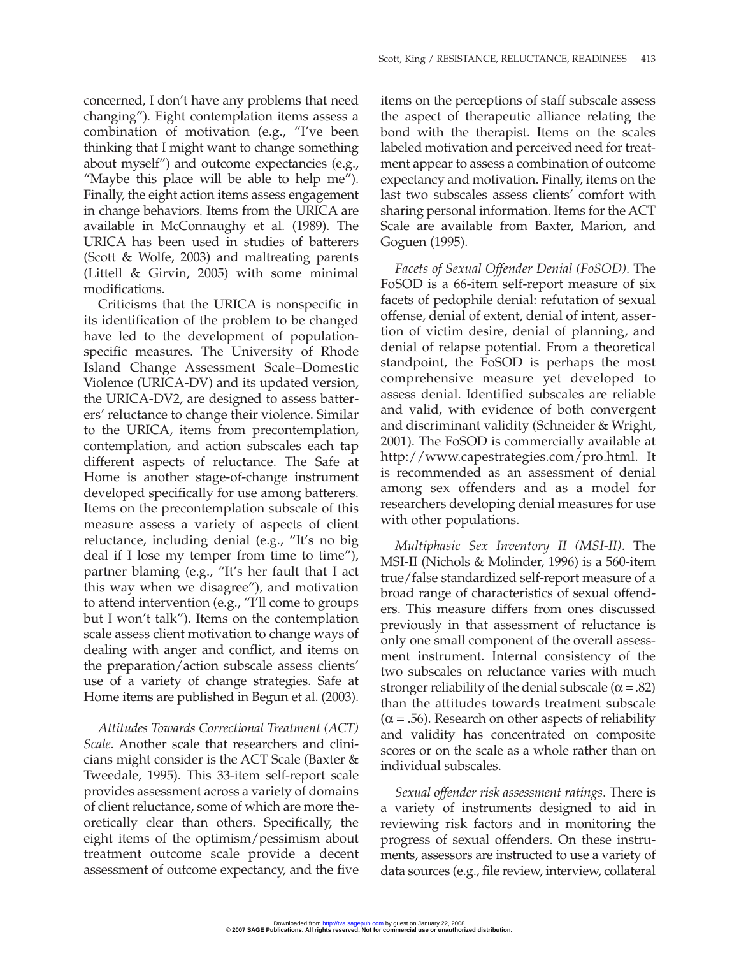concerned, I don't have any problems that need changing"). Eight contemplation items assess a combination of motivation (e.g., "I've been thinking that I might want to change something about myself") and outcome expectancies (e.g., "Maybe this place will be able to help me"). Finally, the eight action items assess engagement in change behaviors. Items from the URICA are available in McConnaughy et al. (1989). The URICA has been used in studies of batterers (Scott & Wolfe, 2003) and maltreating parents (Littell & Girvin, 2005) with some minimal modifications.

Criticisms that the URICA is nonspecific in its identification of the problem to be changed have led to the development of populationspecific measures. The University of Rhode Island Change Assessment Scale–Domestic Violence (URICA-DV) and its updated version, the URICA-DV2, are designed to assess batterers' reluctance to change their violence. Similar to the URICA, items from precontemplation, contemplation, and action subscales each tap different aspects of reluctance. The Safe at Home is another stage-of-change instrument developed specifically for use among batterers. Items on the precontemplation subscale of this measure assess a variety of aspects of client reluctance, including denial (e.g., "It's no big deal if I lose my temper from time to time"), partner blaming (e.g., "It's her fault that I act this way when we disagree"), and motivation to attend intervention (e.g., "I'll come to groups but I won't talk"). Items on the contemplation scale assess client motivation to change ways of dealing with anger and conflict, and items on the preparation/action subscale assess clients' use of a variety of change strategies. Safe at Home items are published in Begun et al. (2003).

*Attitudes Towards Correctional Treatment (ACT) Scale*. Another scale that researchers and clinicians might consider is the ACT Scale (Baxter & Tweedale, 1995). This 33-item self-report scale provides assessment across a variety of domains of client reluctance, some of which are more theoretically clear than others. Specifically, the eight items of the optimism/pessimism about treatment outcome scale provide a decent assessment of outcome expectancy, and the five

items on the perceptions of staff subscale assess the aspect of therapeutic alliance relating the bond with the therapist. Items on the scales labeled motivation and perceived need for treatment appear to assess a combination of outcome expectancy and motivation. Finally, items on the last two subscales assess clients' comfort with sharing personal information. Items for the ACT Scale are available from Baxter, Marion, and Goguen (1995).

*Facets of Sexual Offender Denial (FoSOD)*. The FoSOD is a 66-item self-report measure of six facets of pedophile denial: refutation of sexual offense, denial of extent, denial of intent, assertion of victim desire, denial of planning, and denial of relapse potential. From a theoretical standpoint, the FoSOD is perhaps the most comprehensive measure yet developed to assess denial. Identified subscales are reliable and valid, with evidence of both convergent and discriminant validity (Schneider & Wright, 2001). The FoSOD is commercially available at http://www.capestrategies.com/pro.html. It is recommended as an assessment of denial among sex offenders and as a model for researchers developing denial measures for use with other populations.

*Multiphasic Sex Inventory II (MSI-II)*. The MSI-II (Nichols & Molinder, 1996) is a 560-item true/false standardized self-report measure of a broad range of characteristics of sexual offenders. This measure differs from ones discussed previously in that assessment of reluctance is only one small component of the overall assessment instrument. Internal consistency of the two subscales on reluctance varies with much stronger reliability of the denial subscale ( $\alpha$  = .82) than the attitudes towards treatment subscale  $(\alpha = .56)$ . Research on other aspects of reliability and validity has concentrated on composite scores or on the scale as a whole rather than on individual subscales.

*Sexual offender risk assessment ratings*. There is a variety of instruments designed to aid in reviewing risk factors and in monitoring the progress of sexual offenders. On these instruments, assessors are instructed to use a variety of data sources (e.g., file review, interview, collateral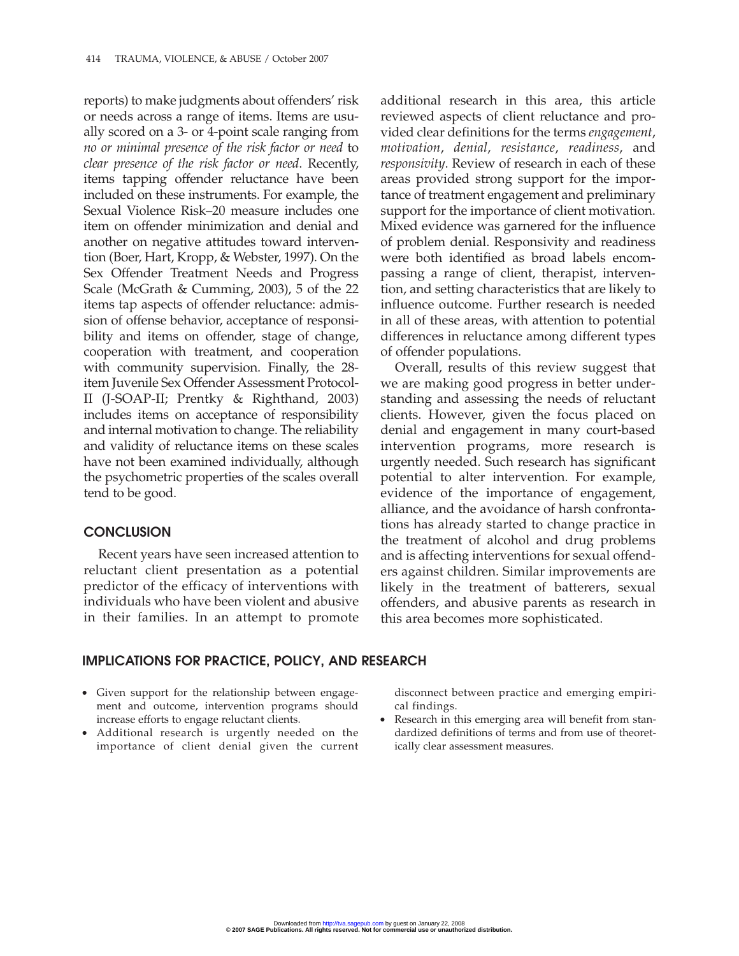reports) to make judgments about offenders' risk or needs across a range of items. Items are usually scored on a 3- or 4-point scale ranging from *no or minimal presence of the risk factor or need* to *clear presence of the risk factor or need*. Recently, items tapping offender reluctance have been included on these instruments. For example, the Sexual Violence Risk–20 measure includes one item on offender minimization and denial and another on negative attitudes toward intervention (Boer, Hart, Kropp, & Webster, 1997). On the Sex Offender Treatment Needs and Progress Scale (McGrath & Cumming, 2003), 5 of the 22 items tap aspects of offender reluctance: admission of offense behavior, acceptance of responsibility and items on offender, stage of change, cooperation with treatment, and cooperation with community supervision. Finally, the 28 item Juvenile Sex Offender Assessment Protocol-II (J-SOAP-II; Prentky & Righthand, 2003) includes items on acceptance of responsibility and internal motivation to change. The reliability and validity of reluctance items on these scales have not been examined individually, although the psychometric properties of the scales overall tend to be good.

#### **CONCLUSION**

Recent years have seen increased attention to reluctant client presentation as a potential predictor of the efficacy of interventions with individuals who have been violent and abusive in their families. In an attempt to promote

additional research in this area, this article reviewed aspects of client reluctance and provided clear definitions for the terms *engagement*, *motivation*, *denial*, *resistance*, *readiness*, and *responsivity*. Review of research in each of these areas provided strong support for the importance of treatment engagement and preliminary support for the importance of client motivation. Mixed evidence was garnered for the influence of problem denial. Responsivity and readiness were both identified as broad labels encompassing a range of client, therapist, intervention, and setting characteristics that are likely to influence outcome. Further research is needed in all of these areas, with attention to potential differences in reluctance among different types of offender populations.

Overall, results of this review suggest that we are making good progress in better understanding and assessing the needs of reluctant clients. However, given the focus placed on denial and engagement in many court-based intervention programs, more research is urgently needed. Such research has significant potential to alter intervention. For example, evidence of the importance of engagement, alliance, and the avoidance of harsh confrontations has already started to change practice in the treatment of alcohol and drug problems and is affecting interventions for sexual offenders against children. Similar improvements are likely in the treatment of batterers, sexual offenders, and abusive parents as research in this area becomes more sophisticated.

#### **IMPLICATIONS FOR PRACTICE, POLICY, AND RESEARCH**

- Given support for the relationship between engagement and outcome, intervention programs should increase efforts to engage reluctant clients.
- Additional research is urgently needed on the importance of client denial given the current

disconnect between practice and emerging empirical findings.

Research in this emerging area will benefit from standardized definitions of terms and from use of theoretically clear assessment measures.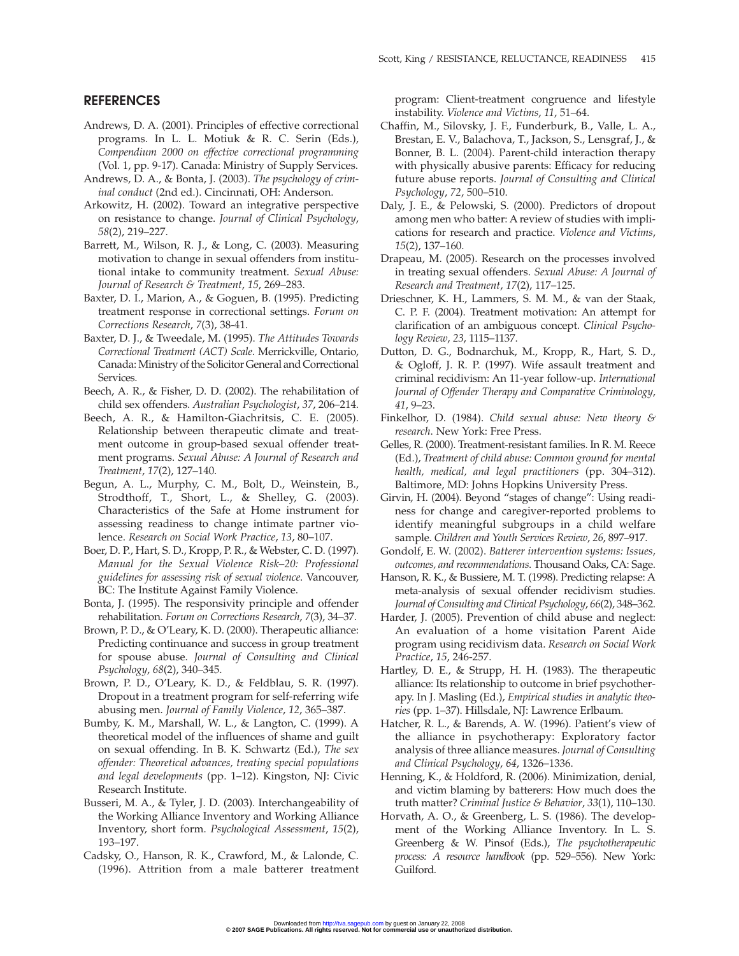#### **REFERENCES**

- Andrews, D. A. (2001). Principles of effective correctional programs. In L. L. Motiuk & R. C. Serin (Eds.), *Compendium 2000 on effective correctional programming* (Vol. 1, pp. 9-17). Canada: Ministry of Supply Services.
- Andrews, D. A., & Bonta, J. (2003). *The psychology of criminal conduct* (2nd ed.). Cincinnati, OH: Anderson.
- Arkowitz, H. (2002). Toward an integrative perspective on resistance to change. *Journal of Clinical Psychology*, *58*(2), 219–227.
- Barrett, M., Wilson, R. J., & Long, C. (2003). Measuring motivation to change in sexual offenders from institutional intake to community treatment. *Sexual Abuse: Journal of Research & Treatment*, *15*, 269–283.
- Baxter, D. I., Marion, A., & Goguen, B. (1995). Predicting treatment response in correctional settings. *Forum on Corrections Research*, *7*(3), 38-41.
- Baxter, D. J., & Tweedale, M. (1995). *The Attitudes Towards Correctional Treatment (ACT) Scale*. Merrickville, Ontario, Canada: Ministry of the Solicitor General and Correctional Services.
- Beech, A. R., & Fisher, D. D. (2002). The rehabilitation of child sex offenders. *Australian Psychologist*, *37*, 206–214.
- Beech, A. R., & Hamilton-Giachritsis, C. E. (2005). Relationship between therapeutic climate and treatment outcome in group-based sexual offender treatment programs. *Sexual Abuse: A Journal of Research and Treatment*, *17*(2), 127–140.
- Begun, A. L., Murphy, C. M., Bolt, D., Weinstein, B., Strodthoff, T., Short, L., & Shelley, G. (2003). Characteristics of the Safe at Home instrument for assessing readiness to change intimate partner violence. *Research on Social Work Practice*, *13*, 80–107.
- Boer, D. P., Hart, S. D., Kropp, P. R., & Webster, C. D. (1997). *Manual for the Sexual Violence Risk–20: Professional guidelines for assessing risk of sexual violence*. Vancouver, BC: The Institute Against Family Violence.
- Bonta, J. (1995). The responsivity principle and offender rehabilitation. *Forum on Corrections Research*, *7*(3), 34–37.
- Brown, P. D., & O'Leary, K. D. (2000). Therapeutic alliance: Predicting continuance and success in group treatment for spouse abuse. *Journal of Consulting and Clinical Psychology*, *68*(2), 340–345.
- Brown, P. D., O'Leary, K. D., & Feldblau, S. R. (1997). Dropout in a treatment program for self-referring wife abusing men. *Journal of Family Violence*, *12*, 365–387.
- Bumby, K. M., Marshall, W. L., & Langton, C. (1999). A theoretical model of the influences of shame and guilt on sexual offending. In B. K. Schwartz (Ed.), *The sex offender: Theoretical advances, treating special populations and legal developments* (pp. 1–12). Kingston, NJ: Civic Research Institute.
- Busseri, M. A., & Tyler, J. D. (2003). Interchangeability of the Working Alliance Inventory and Working Alliance Inventory, short form. *Psychological Assessment*, *15*(2), 193–197.
- Cadsky, O., Hanson, R. K., Crawford, M., & Lalonde, C. (1996). Attrition from a male batterer treatment

program: Client-treatment congruence and lifestyle instability. *Violence and Victims*, *11*, 51–64.

- Chaffin, M., Silovsky, J. F., Funderburk, B., Valle, L. A., Brestan, E. V., Balachova, T., Jackson, S., Lensgraf, J., & Bonner, B. L. (2004). Parent-child interaction therapy with physically abusive parents: Efficacy for reducing future abuse reports. *Journal of Consulting and Clinical Psychology*, *72*, 500–510.
- Daly, J. E., & Pelowski, S. (2000). Predictors of dropout among men who batter: A review of studies with implications for research and practice. *Violence and Victims*, *15*(2), 137–160.
- Drapeau, M. (2005). Research on the processes involved in treating sexual offenders. *Sexual Abuse: A Journal of Research and Treatment*, *17*(2), 117–125.
- Drieschner, K. H., Lammers, S. M. M., & van der Staak, C. P. F. (2004). Treatment motivation: An attempt for clarification of an ambiguous concept. *Clinical Psychology Review*, *23*, 1115–1137.
- Dutton, D. G., Bodnarchuk, M., Kropp, R., Hart, S. D., & Ogloff, J. R. P. (1997). Wife assault treatment and criminal recidivism: An 11-year follow-up. *International Journal of Offender Therapy and Comparative Criminology*, *41*, 9–23.
- Finkelhor, D. (1984). *Child sexual abuse: New theory & research*. New York: Free Press.
- Gelles, R. (2000). Treatment-resistant families. In R. M. Reece (Ed.), *Treatment of child abuse: Common ground for mental health, medical, and legal practitioners* (pp. 304–312). Baltimore, MD: Johns Hopkins University Press.
- Girvin, H. (2004). Beyond "stages of change": Using readiness for change and caregiver-reported problems to identify meaningful subgroups in a child welfare sample. *Children and Youth Services Review*, *26*, 897–917.
- Gondolf, E. W. (2002). *Batterer intervention systems: Issues, outcomes, and recommendations*. Thousand Oaks, CA: Sage.
- Hanson, R. K., & Bussiere, M. T. (1998). Predicting relapse: A meta-analysis of sexual offender recidivism studies. *Journal of Consulting and Clinical Psychology*, *66*(2), 348–362.
- Harder, J. (2005). Prevention of child abuse and neglect: An evaluation of a home visitation Parent Aide program using recidivism data. *Research on Social Work Practice*, *15*, 246-257.
- Hartley, D. E., & Strupp, H. H. (1983). The therapeutic alliance: Its relationship to outcome in brief psychotherapy. In J. Masling (Ed.), *Empirical studies in analytic theories* (pp. 1–37). Hillsdale, NJ: Lawrence Erlbaum.
- Hatcher, R. L., & Barends, A. W. (1996). Patient's view of the alliance in psychotherapy: Exploratory factor analysis of three alliance measures. *Journal of Consulting and Clinical Psychology*, *64*, 1326–1336.
- Henning, K., & Holdford, R. (2006). Minimization, denial, and victim blaming by batterers: How much does the truth matter? *Criminal Justice & Behavior*, *33*(1), 110–130.
- Horvath, A. O., & Greenberg, L. S. (1986). The development of the Working Alliance Inventory. In L. S. Greenberg & W. Pinsof (Eds.), *The psychotherapeutic process: A resource handbook* (pp. 529–556). New York: Guilford.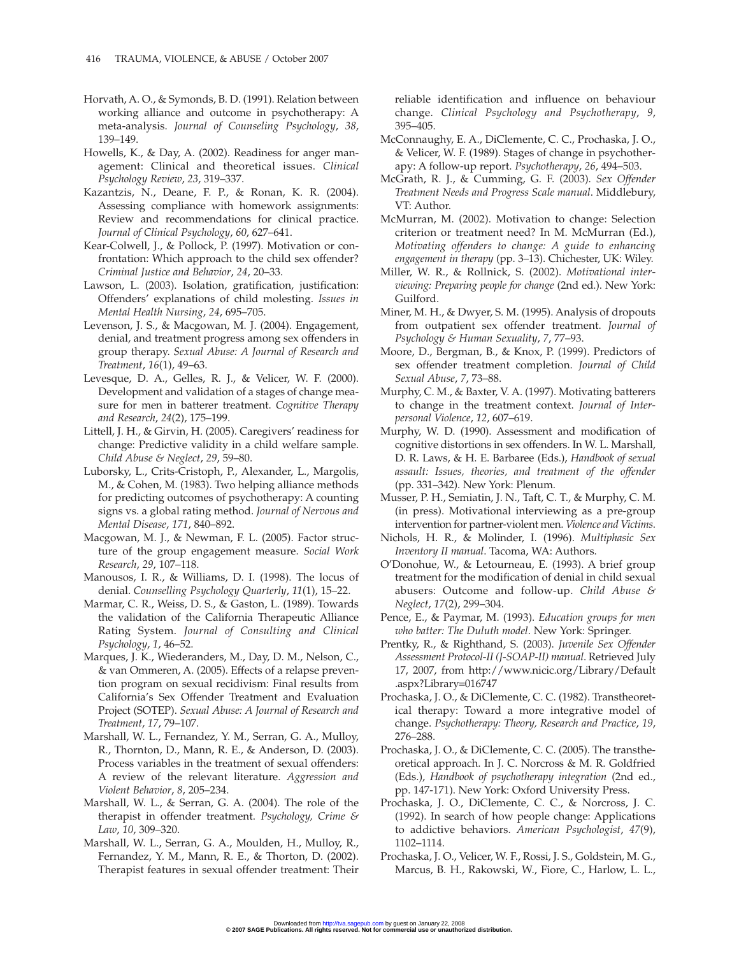- Horvath, A. O., & Symonds, B. D. (1991). Relation between working alliance and outcome in psychotherapy: A meta-analysis. *Journal of Counseling Psychology*, *38*, 139–149.
- Howells, K., & Day, A. (2002). Readiness for anger management: Clinical and theoretical issues. *Clinical Psychology Review*, *23*, 319–337.
- Kazantzis, N., Deane, F. P., & Ronan, K. R. (2004). Assessing compliance with homework assignments: Review and recommendations for clinical practice. *Journal of Clinical Psychology*, *60*, 627–641.
- Kear-Colwell, J., & Pollock, P. (1997). Motivation or confrontation: Which approach to the child sex offender? *Criminal Justice and Behavior*, *24*, 20–33.
- Lawson, L. (2003). Isolation, gratification, justification: Offenders' explanations of child molesting. *Issues in Mental Health Nursing*, *24*, 695–705.
- Levenson, J. S., & Macgowan, M. J. (2004). Engagement, denial, and treatment progress among sex offenders in group therapy. *Sexual Abuse: A Journal of Research and Treatment*, *16*(1), 49–63.
- Levesque, D. A., Gelles, R. J., & Velicer, W. F. (2000). Development and validation of a stages of change measure for men in batterer treatment. *Cognitive Therapy and Research*, *24*(2), 175–199.
- Littell, J. H., & Girvin, H. (2005). Caregivers' readiness for change: Predictive validity in a child welfare sample. *Child Abuse & Neglect*, *29*, 59–80.
- Luborsky, L., Crits-Cristoph, P., Alexander, L., Margolis, M., & Cohen, M. (1983). Two helping alliance methods for predicting outcomes of psychotherapy: A counting signs vs. a global rating method. *Journal of Nervous and Mental Disease*, *171*, 840–892.
- Macgowan, M. J., & Newman, F. L. (2005). Factor structure of the group engagement measure. *Social Work Research*, *29*, 107–118.
- Manousos, I. R., & Williams, D. I. (1998). The locus of denial. *Counselling Psychology Quarterly*, *11*(1), 15–22.
- Marmar, C. R., Weiss, D. S., & Gaston, L. (1989). Towards the validation of the California Therapeutic Alliance Rating System. *Journal of Consulting and Clinical Psychology*, *1*, 46–52.
- Marques, J. K., Wiederanders, M., Day, D. M., Nelson, C., & van Ommeren, A. (2005). Effects of a relapse prevention program on sexual recidivism: Final results from California's Sex Offender Treatment and Evaluation Project (SOTEP). *Sexual Abuse: A Journal of Research and Treatment*, *17*, 79–107.
- Marshall, W. L., Fernandez, Y. M., Serran, G. A., Mulloy, R., Thornton, D., Mann, R. E., & Anderson, D. (2003). Process variables in the treatment of sexual offenders: A review of the relevant literature. *Aggression and Violent Behavior*, *8*, 205–234.
- Marshall, W. L., & Serran, G. A. (2004). The role of the therapist in offender treatment. *Psychology, Crime & Law*, *10*, 309–320.
- Marshall, W. L., Serran, G. A., Moulden, H., Mulloy, R., Fernandez, Y. M., Mann, R. E., & Thorton, D. (2002). Therapist features in sexual offender treatment: Their

reliable identification and influence on behaviour change. *Clinical Psychology and Psychotherapy*, *9*, 395–405.

- McConnaughy, E. A., DiClemente, C. C., Prochaska, J. O., & Velicer, W. F. (1989). Stages of change in psychotherapy: A follow-up report. *Psychotherapy*, *26*, 494–503.
- McGrath, R. J., & Cumming, G. F. (2003). *Sex Offender Treatment Needs and Progress Scale manual*. Middlebury, VT: Author.
- McMurran, M. (2002). Motivation to change: Selection criterion or treatment need? In M. McMurran (Ed.), *Motivating offenders to change: A guide to enhancing engagement in therapy* (pp. 3–13). Chichester, UK: Wiley.
- Miller, W. R., & Rollnick, S. (2002). *Motivational interviewing: Preparing people for change* (2nd ed.). New York: Guilford.
- Miner, M. H., & Dwyer, S. M. (1995). Analysis of dropouts from outpatient sex offender treatment. *Journal of Psychology & Human Sexuality*, *7*, 77–93.
- Moore, D., Bergman, B., & Knox, P. (1999). Predictors of sex offender treatment completion. *Journal of Child Sexual Abuse*, *7*, 73–88.
- Murphy, C. M., & Baxter, V. A. (1997). Motivating batterers to change in the treatment context. *Journal of Interpersonal Violence*, *12*, 607–619.
- Murphy, W. D. (1990). Assessment and modification of cognitive distortions in sex offenders. In W. L. Marshall, D. R. Laws, & H. E. Barbaree (Eds.), *Handbook of sexual assault: Issues, theories, and treatment of the offender* (pp. 331–342). New York: Plenum.
- Musser, P. H., Semiatin, J. N., Taft, C. T., & Murphy, C. M. (in press). Motivational interviewing as a pre-group intervention for partner-violent men. *Violence and Victims*.
- Nichols, H. R., & Molinder, I. (1996). *Multiphasic Sex Inventory II manual*. Tacoma, WA: Authors.
- O'Donohue, W., & Letourneau, E. (1993). A brief group treatment for the modification of denial in child sexual abusers: Outcome and follow-up. *Child Abuse & Neglect*, *17*(2), 299–304.
- Pence, E., & Paymar, M. (1993). *Education groups for men who batter: The Duluth model*. New York: Springer.
- Prentky, R., & Righthand, S. (2003). *Juvenile Sex Offender Assessment Protocol-II (J-SOAP-II) manual*. Retrieved July 17, 2007, from http://www.nicic.org/Library/Default .aspx?Library=016747
- Prochaska, J. O., & DiClemente, C. C. (1982). Transtheoretical therapy: Toward a more integrative model of change. *Psychotherapy: Theory, Research and Practice*, *19*, 276–288.
- Prochaska, J. O., & DiClemente, C. C. (2005). The transtheoretical approach. In J. C. Norcross & M. R. Goldfried (Eds.), *Handbook of psychotherapy integration* (2nd ed., pp. 147-171). New York: Oxford University Press.
- Prochaska, J. O., DiClemente, C. C., & Norcross, J. C. (1992). In search of how people change: Applications to addictive behaviors. *American Psychologist*, *47*(9), 1102–1114.
- Prochaska, J. O., Velicer, W. F., Rossi, J. S., Goldstein, M. G., Marcus, B. H., Rakowski, W., Fiore, C., Harlow, L. L.,